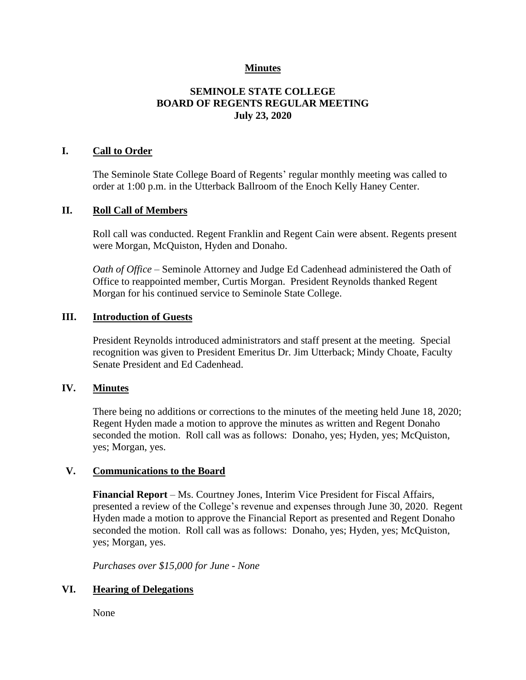## **Minutes**

# **SEMINOLE STATE COLLEGE BOARD OF REGENTS REGULAR MEETING July 23, 2020**

### **I. Call to Order**

The Seminole State College Board of Regents' regular monthly meeting was called to order at 1:00 p.m. in the Utterback Ballroom of the Enoch Kelly Haney Center.

#### **II. Roll Call of Members**

Roll call was conducted. Regent Franklin and Regent Cain were absent. Regents present were Morgan, McQuiston, Hyden and Donaho.

*Oath of Office* – Seminole Attorney and Judge Ed Cadenhead administered the Oath of Office to reappointed member, Curtis Morgan. President Reynolds thanked Regent Morgan for his continued service to Seminole State College.

#### **III. Introduction of Guests**

President Reynolds introduced administrators and staff present at the meeting. Special recognition was given to President Emeritus Dr. Jim Utterback; Mindy Choate, Faculty Senate President and Ed Cadenhead.

### **IV. Minutes**

There being no additions or corrections to the minutes of the meeting held June 18, 2020; Regent Hyden made a motion to approve the minutes as written and Regent Donaho seconded the motion. Roll call was as follows: Donaho, yes; Hyden, yes; McQuiston, yes; Morgan, yes.

### **V. Communications to the Board**

**Financial Report** – Ms. Courtney Jones, Interim Vice President for Fiscal Affairs, presented a review of the College's revenue and expenses through June 30, 2020. Regent Hyden made a motion to approve the Financial Report as presented and Regent Donaho seconded the motion. Roll call was as follows: Donaho, yes; Hyden, yes; McQuiston, yes; Morgan, yes.

*Purchases over \$15,000 for June - None*

### **VI. Hearing of Delegations**

None